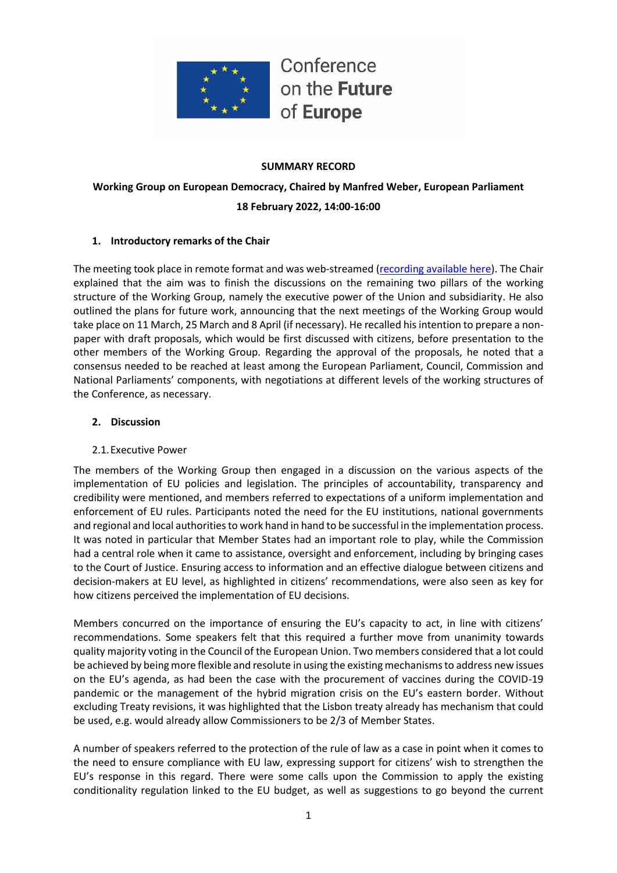

#### **SUMMARY RECORD**

## **Working Group on European Democracy, Chaired by Manfred Weber, European Parliament 18 February 2022, 14:00-16:00**

#### **1. Introductory remarks of the Chair**

The meeting took place in remote format and was web-streamed [\(recording available here\)](https://multimedia.europarl.europa.eu/webstreaming/conference-on-future-of-europe-working-group-on-european-democracy_20220218-1400-SPECIAL-OTHER). The Chair explained that the aim was to finish the discussions on the remaining two pillars of the working structure of the Working Group, namely the executive power of the Union and subsidiarity. He also outlined the plans for future work, announcing that the next meetings of the Working Group would take place on 11 March, 25 March and 8 April (if necessary). He recalled his intention to prepare a nonpaper with draft proposals, which would be first discussed with citizens, before presentation to the other members of the Working Group. Regarding the approval of the proposals, he noted that a consensus needed to be reached at least among the European Parliament, Council, Commission and National Parliaments' components, with negotiations at different levels of the working structures of the Conference, as necessary.

#### **2. Discussion**

#### 2.1.Executive Power

The members of the Working Group then engaged in a discussion on the various aspects of the implementation of EU policies and legislation. The principles of accountability, transparency and credibility were mentioned, and members referred to expectations of a uniform implementation and enforcement of EU rules. Participants noted the need for the EU institutions, national governments and regional and local authorities to work hand in hand to be successful in the implementation process. It was noted in particular that Member States had an important role to play, while the Commission had a central role when it came to assistance, oversight and enforcement, including by bringing cases to the Court of Justice. Ensuring access to information and an effective dialogue between citizens and decision-makers at EU level, as highlighted in citizens' recommendations, were also seen as key for how citizens perceived the implementation of EU decisions.

Members concurred on the importance of ensuring the EU's capacity to act, in line with citizens' recommendations. Some speakers felt that this required a further move from unanimity towards quality majority voting in the Council of the European Union. Two members considered that a lot could be achieved by being more flexible and resolute in using the existing mechanismsto address new issues on the EU's agenda, as had been the case with the procurement of vaccines during the COVID-19 pandemic or the management of the hybrid migration crisis on the EU's eastern border. Without excluding Treaty revisions, it was highlighted that the Lisbon treaty already has mechanism that could be used, e.g. would already allow Commissioners to be 2/3 of Member States.

A number of speakers referred to the protection of the rule of law as a case in point when it comes to the need to ensure compliance with EU law, expressing support for citizens' wish to strengthen the EU's response in this regard. There were some calls upon the Commission to apply the existing conditionality regulation linked to the EU budget, as well as suggestions to go beyond the current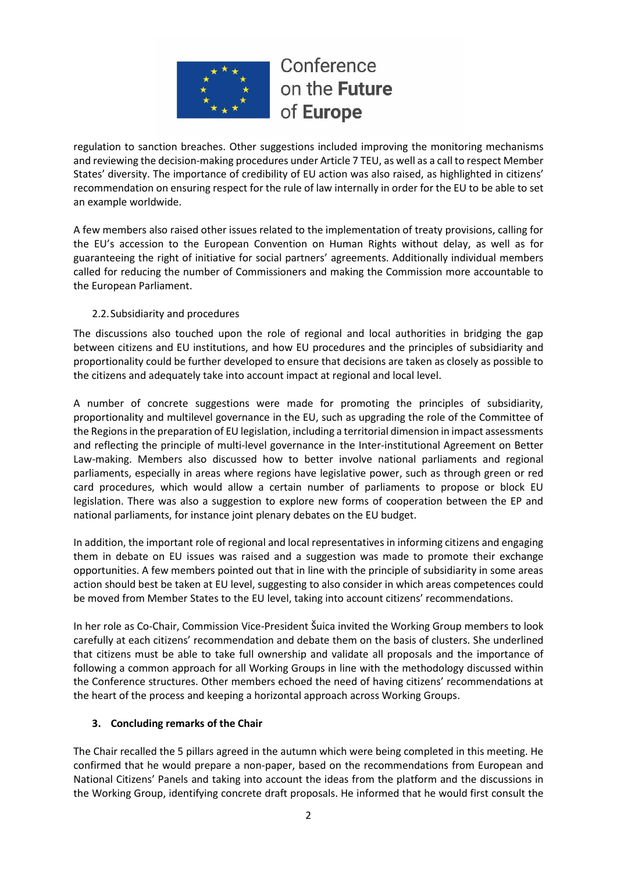

regulation to sanction breaches. Other suggestions included improving the monitoring mechanisms and reviewing the decision-making procedures under Article 7 TEU, as well as a call to respect Member States' diversity. The importance of credibility of EU action was also raised, as highlighted in citizens' recommendation on ensuring respect for the rule of law internally in order for the EU to be able to set an example worldwide.

A few members also raised other issues related to the implementation of treaty provisions, calling for the EU's accession to the European Convention on Human Rights without delay, as well as for guaranteeing the right of initiative for social partners' agreements. Additionally individual members called for reducing the number of Commissioners and making the Commission more accountable to the European Parliament.

#### 2.2.Subsidiarity and procedures

The discussions also touched upon the role of regional and local authorities in bridging the gap between citizens and EU institutions, and how EU procedures and the principles of subsidiarity and proportionality could be further developed to ensure that decisions are taken as closely as possible to the citizens and adequately take into account impact at regional and local level.

A number of concrete suggestions were made for promoting the principles of subsidiarity, proportionality and multilevel governance in the EU, such as upgrading the role of the Committee of the Regions in the preparation of EU legislation, including a territorial dimension in impact assessments and reflecting the principle of multi-level governance in the Inter-institutional Agreement on Better Law-making. Members also discussed how to better involve national parliaments and regional parliaments, especially in areas where regions have legislative power, such as through green or red card procedures, which would allow a certain number of parliaments to propose or block EU legislation. There was also a suggestion to explore new forms of cooperation between the EP and national parliaments, for instance joint plenary debates on the EU budget.

In addition, the important role of regional and local representatives in informing citizens and engaging them in debate on EU issues was raised and a suggestion was made to promote their exchange opportunities. A few members pointed out that in line with the principle of subsidiarity in some areas action should best be taken at EU level, suggesting to also consider in which areas competences could be moved from Member States to the EU level, taking into account citizens' recommendations.

In her role as Co-Chair, Commission Vice-President Šuica invited the Working Group members to look carefully at each citizens' recommendation and debate them on the basis of clusters. She underlined that citizens must be able to take full ownership and validate all proposals and the importance of following a common approach for all Working Groups in line with the methodology discussed within the Conference structures. Other members echoed the need of having citizens' recommendations at the heart of the process and keeping a horizontal approach across Working Groups.

## **3. Concluding remarks of the Chair**

The Chair recalled the 5 pillars agreed in the autumn which were being completed in this meeting. He confirmed that he would prepare a non-paper, based on the recommendations from European and National Citizens' Panels and taking into account the ideas from the platform and the discussions in the Working Group, identifying concrete draft proposals. He informed that he would first consult the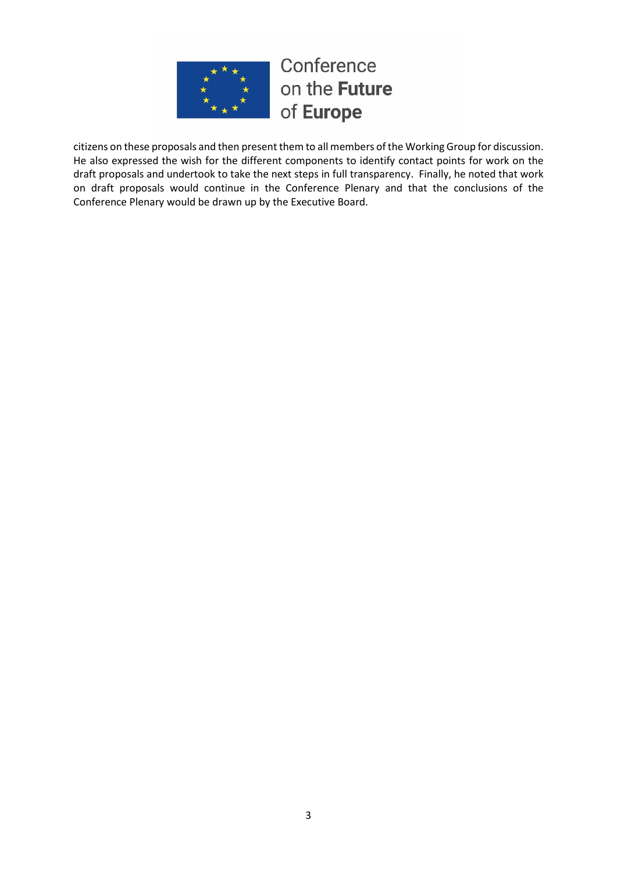

citizens on these proposals and then present them to all members of the Working Group for discussion. He also expressed the wish for the different components to identify contact points for work on the draft proposals and undertook to take the next steps in full transparency. Finally, he noted that work on draft proposals would continue in the Conference Plenary and that the conclusions of the Conference Plenary would be drawn up by the Executive Board.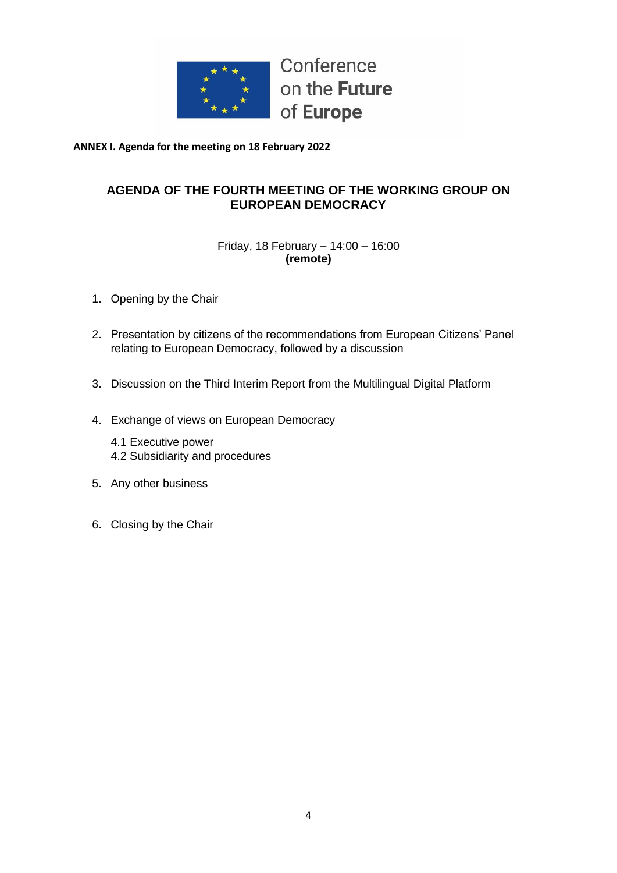

**ANNEX I. Agenda for the meeting on 18 February 2022**

## **AGENDA OF THE FOURTH MEETING OF THE WORKING GROUP ON EUROPEAN DEMOCRACY**

## Friday, 18 February – 14:00 – 16:00 **(remote)**

- 1. Opening by the Chair
- 2. Presentation by citizens of the recommendations from European Citizens' Panel relating to European Democracy, followed by a discussion
- 3. Discussion on the Third Interim Report from the Multilingual Digital Platform
- 4. Exchange of views on European Democracy
	- 4.1 Executive power 4.2 Subsidiarity and procedures
- 5. Any other business
- 6. Closing by the Chair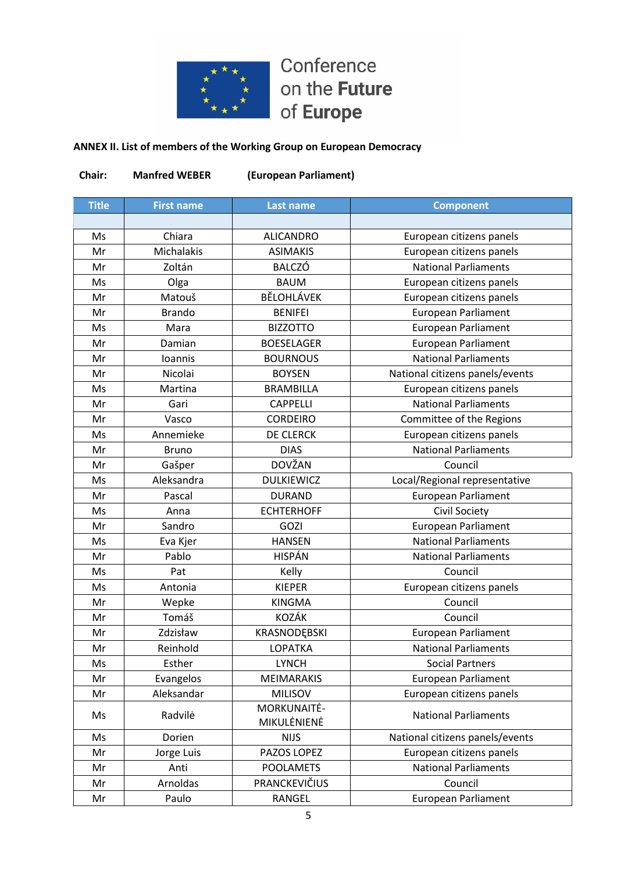

## **ANNEX II. List of members of the Working Group on European Democracy**

| Chair:       | <b>Manfred WEBER</b> | (European Parliament)      |                                 |
|--------------|----------------------|----------------------------|---------------------------------|
| <b>Title</b> | <b>First name</b>    | <b>Last name</b>           | <b>Component</b>                |
|              |                      |                            |                                 |
| Ms           | Chiara               | <b>ALICANDRO</b>           | European citizens panels        |
| Mr           | Michalakis           | <b>ASIMAKIS</b>            | European citizens panels        |
| Mr           | Zoltán               | <b>BALCZÓ</b>              | <b>National Parliaments</b>     |
| Ms           | Olga                 | <b>BAUM</b>                | European citizens panels        |
| Mr           | Matouš               | <b>BĚLOHLÁVEK</b>          | European citizens panels        |
| Mr           | <b>Brando</b>        | <b>BENIFEI</b>             | <b>European Parliament</b>      |
| Ms           | Mara                 | <b>BIZZOTTO</b>            | <b>European Parliament</b>      |
| Mr           | Damian               | <b>BOESELAGER</b>          | European Parliament             |
| Mr           | <b>Ioannis</b>       | <b>BOURNOUS</b>            | <b>National Parliaments</b>     |
| Mr           | Nicolai              | <b>BOYSEN</b>              | National citizens panels/events |
| Ms           | Martina              | <b>BRAMBILLA</b>           | European citizens panels        |
| Mr           | Gari                 | <b>CAPPELLI</b>            | <b>National Parliaments</b>     |
| Mr           | Vasco                | <b>CORDEIRO</b>            | Committee of the Regions        |
| Ms           | Annemieke            | <b>DE CLERCK</b>           | European citizens panels        |
| Mr           | <b>Bruno</b>         | <b>DIAS</b>                | <b>National Parliaments</b>     |
| Mr           | Gašper               | <b>DOVŽAN</b>              | Council                         |
| Ms           | Aleksandra           | <b>DULKIEWICZ</b>          | Local/Regional representative   |
| Mr           | Pascal               | <b>DURAND</b>              | <b>European Parliament</b>      |
| Ms           | Anna                 | <b>ECHTERHOFF</b>          | Civil Society                   |
| Mr           | Sandro               | <b>GOZI</b>                | <b>European Parliament</b>      |
| Ms           | Eva Kjer             | <b>HANSEN</b>              | <b>National Parliaments</b>     |
| Mr           | Pablo                | <b>HISPÁN</b>              | <b>National Parliaments</b>     |
| Ms           | Pat                  | Kelly                      | Council                         |
| Ms           | Antonia              | <b>KIEPER</b>              | European citizens panels        |
| Mr           | Wepke                | <b>KINGMA</b>              | Council                         |
| Mr           | Tomáš                | KOZÁK                      | Council                         |
| Mr           | Zdzisław             | KRASNODĘBSKI               | European Parliament             |
| Mr           | Reinhold             | LOPATKA                    | <b>National Parliaments</b>     |
| Ms           | Esther               | <b>LYNCH</b>               | <b>Social Partners</b>          |
| Mr           | Evangelos            | MEIMARAKIS                 | <b>European Parliament</b>      |
| Mr           | Aleksandar           | <b>MILISOV</b>             | European citizens panels        |
| Ms           | Radvilė              | MORKUNAITĖ-<br>MIKULĖNIENĖ | <b>National Parliaments</b>     |
| Ms           | Dorien               | <b>NIJS</b>                | National citizens panels/events |
| Mr           | Jorge Luis           | PAZOS LOPEZ                | European citizens panels        |
| Mr           | Anti                 | <b>POOLAMETS</b>           | <b>National Parliaments</b>     |
| Mr           | Arnoldas             | PRANCKEVIČIUS              | Council                         |
| Mr           | Paulo                | RANGEL                     | <b>European Parliament</b>      |